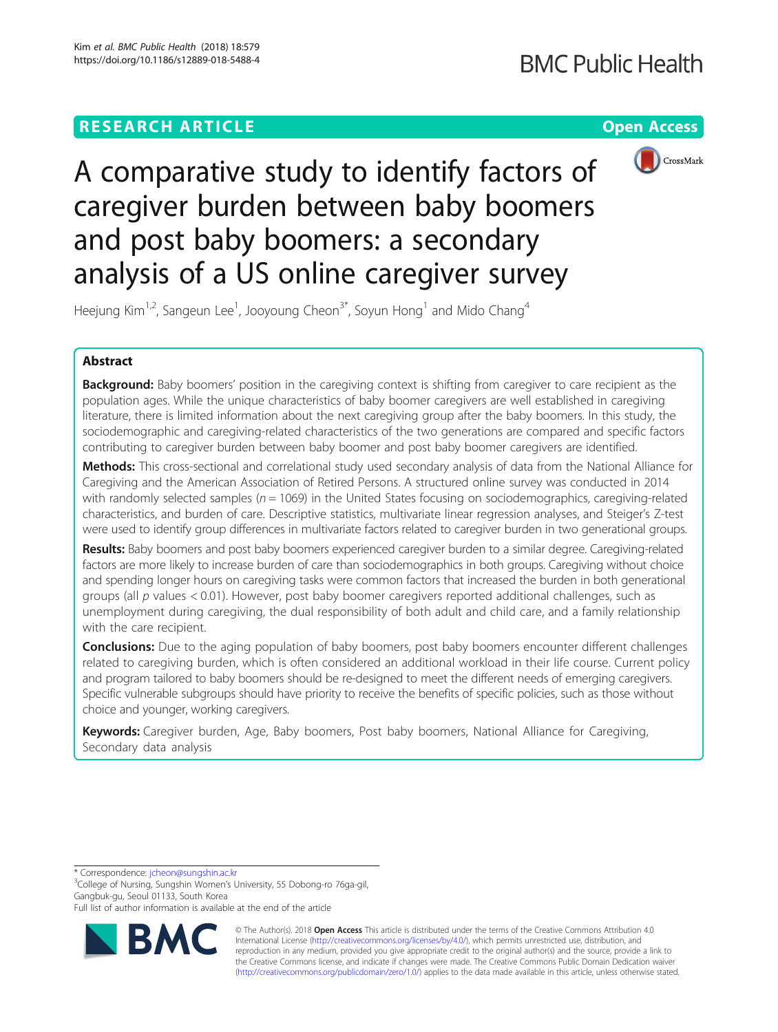

A comparative study to identify factors of caregiver burden between baby boomers and post baby boomers: a secondary analysis of a US online caregiver survey

Heejung Kim<sup>1,2</sup>, Sangeun Lee<sup>1</sup>, Jooyoung Cheon<sup>3\*</sup>, Soyun Hong<sup>1</sup> and Mido Chang<sup>4</sup>

# Abstract

Background: Baby boomers' position in the caregiving context is shifting from caregiver to care recipient as the population ages. While the unique characteristics of baby boomer caregivers are well established in caregiving literature, there is limited information about the next caregiving group after the baby boomers. In this study, the sociodemographic and caregiving-related characteristics of the two generations are compared and specific factors contributing to caregiver burden between baby boomer and post baby boomer caregivers are identified.

Methods: This cross-sectional and correlational study used secondary analysis of data from the National Alliance for Caregiving and the American Association of Retired Persons. A structured online survey was conducted in 2014 with randomly selected samples ( $n = 1069$ ) in the United States focusing on sociodemographics, caregiving-related characteristics, and burden of care. Descriptive statistics, multivariate linear regression analyses, and Steiger's Z-test were used to identify group differences in multivariate factors related to caregiver burden in two generational groups.

Results: Baby boomers and post baby boomers experienced caregiver burden to a similar degree. Caregiving-related factors are more likely to increase burden of care than sociodemographics in both groups. Caregiving without choice and spending longer hours on caregiving tasks were common factors that increased the burden in both generational groups (all p values < 0.01). However, post baby boomer caregivers reported additional challenges, such as unemployment during caregiving, the dual responsibility of both adult and child care, and a family relationship with the care recipient.

**Conclusions:** Due to the aging population of baby boomers, post baby boomers encounter different challenges related to caregiving burden, which is often considered an additional workload in their life course. Current policy and program tailored to baby boomers should be re-designed to meet the different needs of emerging caregivers. Specific vulnerable subgroups should have priority to receive the benefits of specific policies, such as those without choice and younger, working caregivers.

Keywords: Caregiver burden, Age, Baby boomers, Post baby boomers, National Alliance for Caregiving, Secondary data analysis

\* Correspondence: [jcheon@sungshin.ac.kr](mailto:jcheon@sungshin.ac.kr) <sup>3</sup>

<sup>3</sup>College of Nursing, Sungshin Women's University, 55 Dobong-ro 76ga-gil, Gangbuk-gu, Seoul 01133, South Korea

Full list of author information is available at the end of the article



© The Author(s). 2018 Open Access This article is distributed under the terms of the Creative Commons Attribution 4.0 International License [\(http://creativecommons.org/licenses/by/4.0/](http://creativecommons.org/licenses/by/4.0/)), which permits unrestricted use, distribution, and reproduction in any medium, provided you give appropriate credit to the original author(s) and the source, provide a link to the Creative Commons license, and indicate if changes were made. The Creative Commons Public Domain Dedication waiver [\(http://creativecommons.org/publicdomain/zero/1.0/](http://creativecommons.org/publicdomain/zero/1.0/)) applies to the data made available in this article, unless otherwise stated.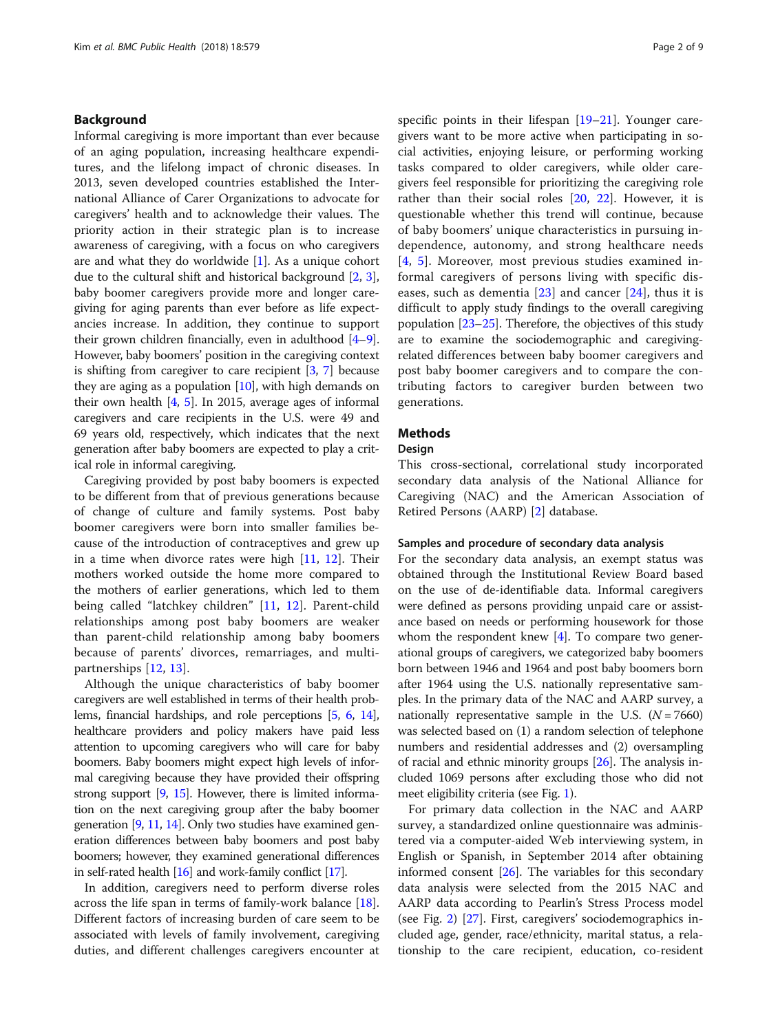# Background

Informal caregiving is more important than ever because of an aging population, increasing healthcare expenditures, and the lifelong impact of chronic diseases. In 2013, seven developed countries established the International Alliance of Carer Organizations to advocate for caregivers' health and to acknowledge their values. The priority action in their strategic plan is to increase awareness of caregiving, with a focus on who caregivers are and what they do worldwide [[1\]](#page-7-0). As a unique cohort due to the cultural shift and historical background [\[2](#page-7-0), [3](#page-7-0)], baby boomer caregivers provide more and longer caregiving for aging parents than ever before as life expectancies increase. In addition, they continue to support their grown children financially, even in adulthood [[4](#page-7-0)–[9](#page-7-0)]. However, baby boomers' position in the caregiving context is shifting from caregiver to care recipient [\[3,](#page-7-0) [7](#page-7-0)] because they are aging as a population  $[10]$  $[10]$ , with high demands on their own health [[4](#page-7-0), [5\]](#page-7-0). In 2015, average ages of informal caregivers and care recipients in the U.S. were 49 and 69 years old, respectively, which indicates that the next generation after baby boomers are expected to play a critical role in informal caregiving.

Caregiving provided by post baby boomers is expected to be different from that of previous generations because of change of culture and family systems. Post baby boomer caregivers were born into smaller families because of the introduction of contraceptives and grew up in a time when divorce rates were high  $[11, 12]$  $[11, 12]$  $[11, 12]$  $[11, 12]$ . Their mothers worked outside the home more compared to the mothers of earlier generations, which led to them being called "latchkey children" [[11](#page-7-0), [12](#page-7-0)]. Parent-child relationships among post baby boomers are weaker than parent-child relationship among baby boomers because of parents' divorces, remarriages, and multipartnerships [[12,](#page-7-0) [13\]](#page-7-0).

Although the unique characteristics of baby boomer caregivers are well established in terms of their health problems, financial hardships, and role perceptions [[5,](#page-7-0) [6,](#page-7-0) [14](#page-7-0)], healthcare providers and policy makers have paid less attention to upcoming caregivers who will care for baby boomers. Baby boomers might expect high levels of informal caregiving because they have provided their offspring strong support [\[9,](#page-7-0) [15](#page-7-0)]. However, there is limited information on the next caregiving group after the baby boomer generation [[9](#page-7-0), [11](#page-7-0), [14](#page-7-0)]. Only two studies have examined generation differences between baby boomers and post baby boomers; however, they examined generational differences in self-rated health [\[16\]](#page-7-0) and work-family conflict [[17](#page-7-0)].

In addition, caregivers need to perform diverse roles across the life span in terms of family-work balance [\[18](#page-7-0)]. Different factors of increasing burden of care seem to be associated with levels of family involvement, caregiving duties, and different challenges caregivers encounter at specific points in their lifespan [[19](#page-8-0)–[21](#page-8-0)]. Younger caregivers want to be more active when participating in social activities, enjoying leisure, or performing working tasks compared to older caregivers, while older caregivers feel responsible for prioritizing the caregiving role rather than their social roles  $[20, 22]$  $[20, 22]$  $[20, 22]$  $[20, 22]$ . However, it is questionable whether this trend will continue, because of baby boomers' unique characteristics in pursuing independence, autonomy, and strong healthcare needs [[4](#page-7-0), [5\]](#page-7-0). Moreover, most previous studies examined informal caregivers of persons living with specific diseases, such as dementia  $[23]$  $[23]$  and cancer  $[24]$  $[24]$  $[24]$ , thus it is difficult to apply study findings to the overall caregiving population [[23](#page-8-0)–[25\]](#page-8-0). Therefore, the objectives of this study are to examine the sociodemographic and caregivingrelated differences between baby boomer caregivers and post baby boomer caregivers and to compare the contributing factors to caregiver burden between two generations.

# Methods

# Design

This cross-sectional, correlational study incorporated secondary data analysis of the National Alliance for Caregiving (NAC) and the American Association of Retired Persons (AARP) [[2\]](#page-7-0) database.

# Samples and procedure of secondary data analysis

For the secondary data analysis, an exempt status was obtained through the Institutional Review Board based on the use of de-identifiable data. Informal caregivers were defined as persons providing unpaid care or assistance based on needs or performing housework for those whom the respondent knew  $[4]$  $[4]$ . To compare two generational groups of caregivers, we categorized baby boomers born between 1946 and 1964 and post baby boomers born after 1964 using the U.S. nationally representative samples. In the primary data of the NAC and AARP survey, a nationally representative sample in the U.S.  $(N = 7660)$ was selected based on (1) a random selection of telephone numbers and residential addresses and (2) oversampling of racial and ethnic minority groups [[26](#page-8-0)]. The analysis included 1069 persons after excluding those who did not meet eligibility criteria (see Fig. [1](#page-2-0)).

For primary data collection in the NAC and AARP survey, a standardized online questionnaire was administered via a computer-aided Web interviewing system, in English or Spanish, in September 2014 after obtaining informed consent  $[26]$  $[26]$ . The variables for this secondary data analysis were selected from the 2015 NAC and AARP data according to Pearlin's Stress Process model (see Fig. [2](#page-2-0)) [\[27\]](#page-8-0). First, caregivers' sociodemographics included age, gender, race/ethnicity, marital status, a relationship to the care recipient, education, co-resident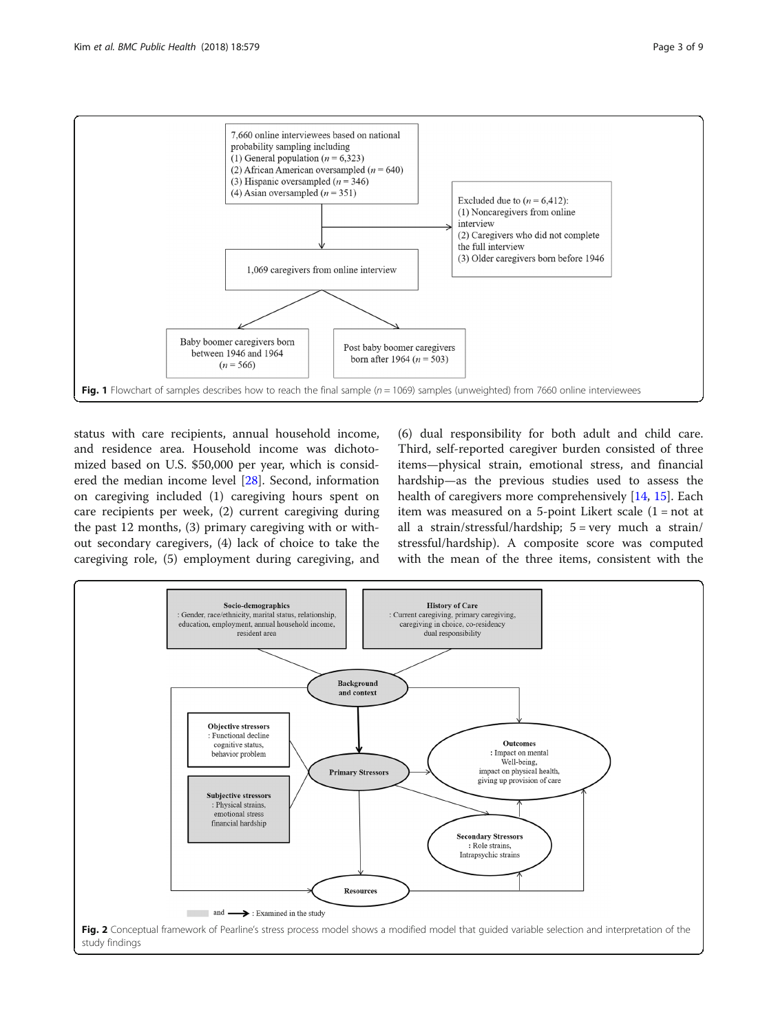<span id="page-2-0"></span>

status with care recipients, annual household income, and residence area. Household income was dichotomized based on U.S. \$50,000 per year, which is considered the median income level [[28\]](#page-8-0). Second, information on caregiving included (1) caregiving hours spent on care recipients per week, (2) current caregiving during the past 12 months, (3) primary caregiving with or without secondary caregivers, (4) lack of choice to take the caregiving role, (5) employment during caregiving, and

(6) dual responsibility for both adult and child care. Third, self-reported caregiver burden consisted of three items—physical strain, emotional stress, and financial hardship—as the previous studies used to assess the health of caregivers more comprehensively [[14,](#page-7-0) [15\]](#page-7-0). Each item was measured on a 5-point Likert scale (1 = not at all a strain/stressful/hardship; 5 = very much a strain/ stressful/hardship). A composite score was computed with the mean of the three items, consistent with the

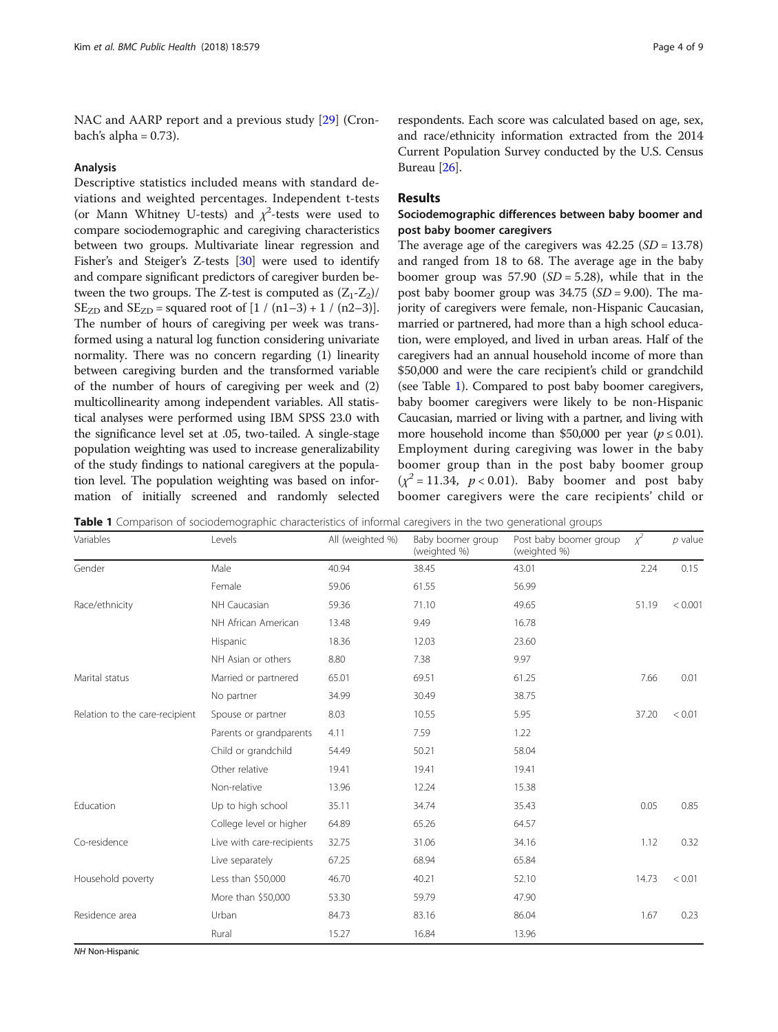NAC and AARP report and a previous study [[29\]](#page-8-0) (Cronbach's alpha  $= 0.73$ ).

## Analysis

Descriptive statistics included means with standard deviations and weighted percentages. Independent t-tests (or Mann Whitney U-tests) and  $\chi^2$ -tests were used to compare sociodemographic and caregiving characteristics between two groups. Multivariate linear regression and Fisher's and Steiger's Z-tests [\[30\]](#page-8-0) were used to identify and compare significant predictors of caregiver burden between the two groups. The Z-test is computed as  $(Z_1-Z_2)$ /  $SE_{ZD}$  and  $SE_{ZD}$  = squared root of  $[1 / (n1-3) + 1 / (n2-3)].$ The number of hours of caregiving per week was transformed using a natural log function considering univariate normality. There was no concern regarding (1) linearity between caregiving burden and the transformed variable of the number of hours of caregiving per week and (2) multicollinearity among independent variables. All statistical analyses were performed using IBM SPSS 23.0 with the significance level set at .05, two-tailed. A single-stage population weighting was used to increase generalizability of the study findings to national caregivers at the population level. The population weighting was based on information of initially screened and randomly selected

respondents. Each score was calculated based on age, sex, and race/ethnicity information extracted from the 2014 Current Population Survey conducted by the U.S. Census Bureau [[26](#page-8-0)].

# Results

# Sociodemographic differences between baby boomer and post baby boomer caregivers

The average age of the caregivers was  $42.25$  (*SD* = 13.78) and ranged from 18 to 68. The average age in the baby boomer group was  $57.90$  ( $SD = 5.28$ ), while that in the post baby boomer group was  $34.75$  (SD = 9.00). The majority of caregivers were female, non-Hispanic Caucasian, married or partnered, had more than a high school education, were employed, and lived in urban areas. Half of the caregivers had an annual household income of more than \$50,000 and were the care recipient's child or grandchild (see Table 1). Compared to post baby boomer caregivers, baby boomer caregivers were likely to be non-Hispanic Caucasian, married or living with a partner, and living with more household income than \$50,000 per year ( $p \le 0.01$ ). Employment during caregiving was lower in the baby boomer group than in the post baby boomer group  $(x^2 = 11.34, p < 0.01)$ . Baby boomer and post baby boomer caregivers were the care recipients' child or

**Table 1** Comparison of sociodemographic characteristics of informal caregivers in the two generational groups

| Variables                      | Levels                    | All (weighted %) | Baby boomer group<br>(weighted %) | Post baby boomer group<br>(weighted %) | $x^2$ | $p$ value |
|--------------------------------|---------------------------|------------------|-----------------------------------|----------------------------------------|-------|-----------|
| Gender                         | Male                      | 40.94            | 38.45                             | 43.01                                  | 2.24  | 0.15      |
|                                | Female                    | 59.06            | 61.55                             | 56.99                                  |       |           |
| Race/ethnicity                 | NH Caucasian              | 59.36            | 71.10                             | 49.65                                  | 51.19 | < 0.001   |
|                                | NH African American       | 13.48            | 9.49                              | 16.78                                  |       |           |
|                                | Hispanic                  | 18.36            | 12.03                             | 23.60                                  |       |           |
|                                | NH Asian or others        | 8.80             | 7.38                              | 9.97                                   |       |           |
| Marital status                 | Married or partnered      | 65.01            | 69.51                             | 61.25                                  | 7.66  | 0.01      |
|                                | No partner                | 34.99            | 30.49                             | 38.75                                  |       |           |
| Relation to the care-recipient | Spouse or partner         | 8.03             | 10.55                             | 5.95                                   | 37.20 | < 0.01    |
|                                | Parents or grandparents   | 4.11             | 7.59                              | 1.22                                   |       |           |
|                                | Child or grandchild       | 54.49            | 50.21                             | 58.04                                  |       |           |
|                                | Other relative            | 19.41            | 19.41                             | 19.41                                  |       |           |
|                                | Non-relative              | 13.96            | 12.24                             | 15.38                                  |       |           |
| Education                      | Up to high school         | 35.11            | 34.74                             | 35.43                                  | 0.05  | 0.85      |
|                                | College level or higher   | 64.89            | 65.26                             | 64.57                                  |       |           |
| Co-residence                   | Live with care-recipients | 32.75            | 31.06                             | 34.16                                  | 1.12  | 0.32      |
|                                | Live separately           | 67.25            | 68.94                             | 65.84                                  |       |           |
| Household poverty              | Less than \$50,000        | 46.70            | 40.21                             | 52.10                                  | 14.73 | < 0.01    |
|                                | More than \$50,000        | 53.30            | 59.79                             | 47.90                                  |       |           |
| Residence area                 | Urban                     | 84.73            | 83.16                             | 86.04                                  | 1.67  | 0.23      |
|                                | Rural                     | 15.27            | 16.84                             | 13.96                                  |       |           |

NH Non-Hispanic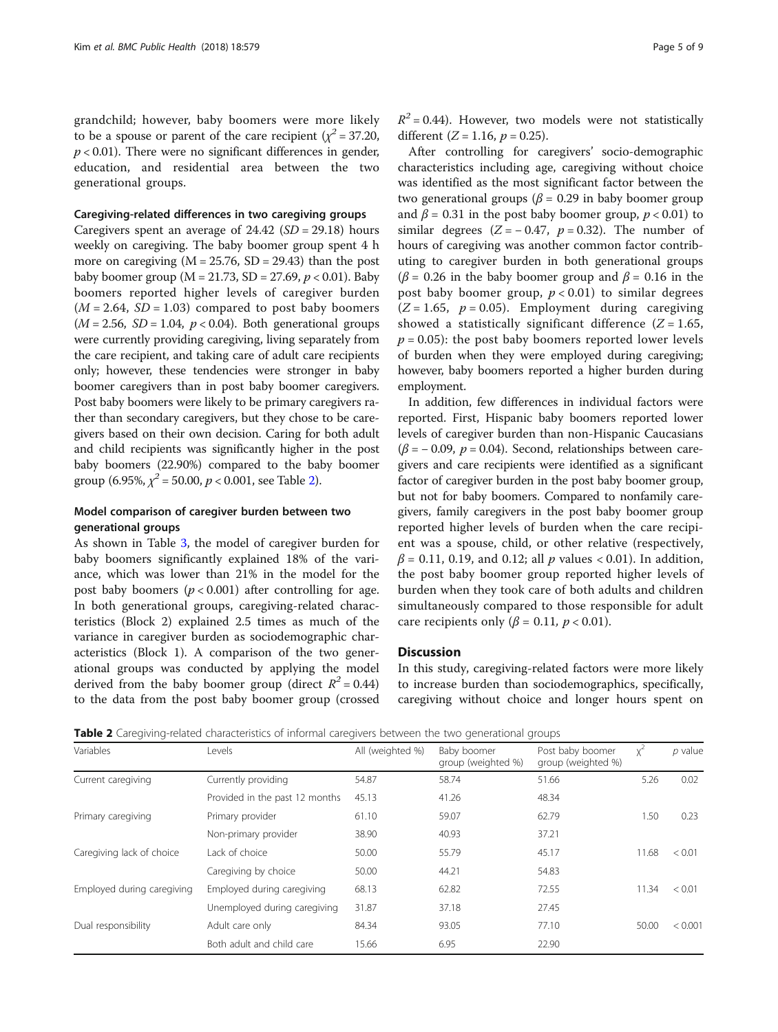grandchild; however, baby boomers were more likely to be a spouse or parent of the care recipient ( $\chi^2$  = 37.20,  $p < 0.01$ ). There were no significant differences in gender, education, and residential area between the two generational groups.

# Caregiving-related differences in two caregiving groups

Caregivers spent an average of  $24.42$  (*SD* = 29.18) hours weekly on caregiving. The baby boomer group spent 4 h more on caregiving  $(M = 25.76, SD = 29.43)$  than the post baby boomer group ( $M = 21.73$ , SD = 27.69,  $p < 0.01$ ). Baby boomers reported higher levels of caregiver burden  $(M = 2.64, SD = 1.03)$  compared to post baby boomers  $(M = 2.56, SD = 1.04, p < 0.04)$ . Both generational groups were currently providing caregiving, living separately from the care recipient, and taking care of adult care recipients only; however, these tendencies were stronger in baby boomer caregivers than in post baby boomer caregivers. Post baby boomers were likely to be primary caregivers rather than secondary caregivers, but they chose to be caregivers based on their own decision. Caring for both adult and child recipients was significantly higher in the post baby boomers (22.90%) compared to the baby boomer group (6.95%,  $\chi^2$  = 50.00,  $p < 0.001$ , see Table 2).

# Model comparison of caregiver burden between two generational groups

As shown in Table [3](#page-5-0), the model of caregiver burden for baby boomers significantly explained 18% of the variance, which was lower than 21% in the model for the post baby boomers ( $p < 0.001$ ) after controlling for age. In both generational groups, caregiving-related characteristics (Block 2) explained 2.5 times as much of the variance in caregiver burden as sociodemographic characteristics (Block 1). A comparison of the two generational groups was conducted by applying the model derived from the baby boomer group (direct  $R^2 = 0.44$ ) to the data from the post baby boomer group (crossed  $R^2$  = 0.44). However, two models were not statistically different ( $Z = 1.16$ ,  $p = 0.25$ ).

After controlling for caregivers' socio-demographic characteristics including age, caregiving without choice was identified as the most significant factor between the two generational groups ( $\beta$  = 0.29 in baby boomer group and  $\beta$  = 0.31 in the post baby boomer group,  $p < 0.01$ ) to similar degrees  $(Z = -0.47, p = 0.32)$ . The number of hours of caregiving was another common factor contributing to caregiver burden in both generational groups ( $\beta$  = 0.26 in the baby boomer group and  $\beta$  = 0.16 in the post baby boomer group,  $p < 0.01$ ) to similar degrees  $(Z = 1.65, p = 0.05)$ . Employment during caregiving showed a statistically significant difference  $(Z = 1.65$ ,  $p = 0.05$ : the post baby boomers reported lower levels of burden when they were employed during caregiving; however, baby boomers reported a higher burden during employment.

In addition, few differences in individual factors were reported. First, Hispanic baby boomers reported lower levels of caregiver burden than non-Hispanic Caucasians  $(\beta = -0.09, p = 0.04)$ . Second, relationships between caregivers and care recipients were identified as a significant factor of caregiver burden in the post baby boomer group, but not for baby boomers. Compared to nonfamily caregivers, family caregivers in the post baby boomer group reported higher levels of burden when the care recipient was a spouse, child, or other relative (respectively,  $β = 0.11, 0.19$ , and 0.12; all *p* values < 0.01). In addition, the post baby boomer group reported higher levels of burden when they took care of both adults and children simultaneously compared to those responsible for adult care recipients only ( $\beta$  = 0.11,  $p$  < 0.01).

# **Discussion**

In this study, caregiving-related factors were more likely to increase burden than sociodemographics, specifically, caregiving without choice and longer hours spent on

Table 2 Caregiving-related characteristics of informal caregivers between the two generational groups

| Variables                  | Levels                         | All (weighted %) | Baby boomer<br>group (weighted %) | Post baby boomer<br>group (weighted %) | $X^2$ | p value |
|----------------------------|--------------------------------|------------------|-----------------------------------|----------------------------------------|-------|---------|
| Current caregiving         | Currently providing            | 54.87            | 58.74                             | 51.66                                  | 5.26  | 0.02    |
|                            | Provided in the past 12 months | 45.13            | 41.26                             | 48.34                                  |       |         |
| Primary caregiving         | Primary provider               | 61.10            | 59.07                             | 62.79                                  | 1.50  | 0.23    |
|                            | Non-primary provider           | 38.90            | 40.93                             | 37.21                                  |       |         |
| Caregiving lack of choice  | Lack of choice                 | 50.00            | 55.79                             | 45.17                                  | 11.68 | < 0.01  |
|                            | Caregiving by choice           | 50.00            | 44.21                             | 54.83                                  |       |         |
| Employed during caregiving | Employed during caregiving     | 68.13            | 62.82                             | 72.55                                  | 11.34 | < 0.01  |
|                            | Unemployed during caregiving   | 31.87            | 37.18                             | 27.45                                  |       |         |
| Dual responsibility        | Adult care only                | 84.34            | 93.05                             | 77.10                                  | 50.00 | < 0.001 |
|                            | Both adult and child care      | 15.66            | 6.95                              | 22.90                                  |       |         |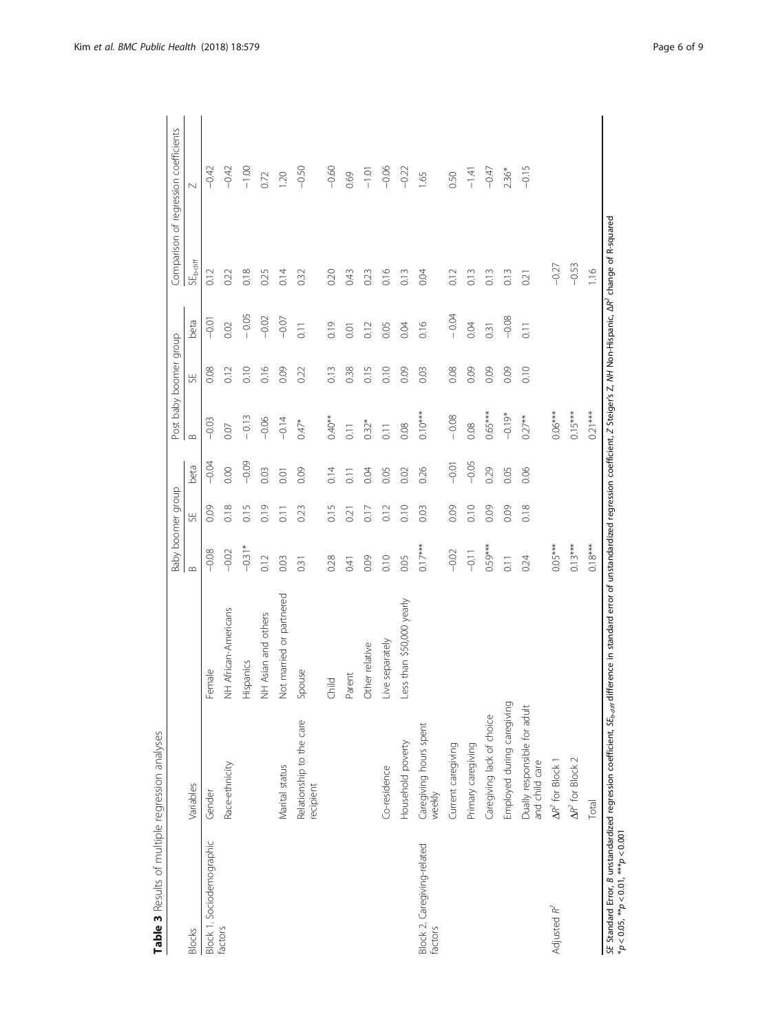<span id="page-5-0"></span>

|                                                                         |                                                |                                                                                                                                                                                                                            | Baby boomer group |                |         | Post baby boomer group |      |                        |                      | Comparison of regression coefficients |
|-------------------------------------------------------------------------|------------------------------------------------|----------------------------------------------------------------------------------------------------------------------------------------------------------------------------------------------------------------------------|-------------------|----------------|---------|------------------------|------|------------------------|----------------------|---------------------------------------|
| <b>Blocks</b>                                                           | Variables                                      |                                                                                                                                                                                                                            | $\infty$          | UH             | beta    | $\infty$               | UH   | beta                   | SE <sub>b-diff</sub> | $\overline{\mathsf{N}}$               |
| Block 1. Sociodemographic                                               | Gender                                         | Female                                                                                                                                                                                                                     | $-0.08$           | 0.09           | $-0.04$ | $-0.03$                | 0.08 | ioo                    | 0.12                 | $-0.42$                               |
| factors                                                                 | Race-ethnicity                                 | NH African-Americans                                                                                                                                                                                                       | $-0.02$           | 0.18           | 0.00    | $0.07\,$               | 0.12 | 0.02                   | 0.22                 | $-0.42$                               |
|                                                                         |                                                | Hispanics                                                                                                                                                                                                                  | $-0.31*$          | 0.15           | $-0.09$ | $-0.13$                | 0.10 | $-0.05$                | 0.18                 | $-1.00$                               |
|                                                                         |                                                | NH Asian and others                                                                                                                                                                                                        | 0.12              | 0.19           | 0.03    | $-0.06$                | 0.16 | $-0.02$                | 0.25                 | 0.72                                  |
|                                                                         | Marital status                                 | Not married or partnered                                                                                                                                                                                                   | 0.03              | $\overline{C}$ | 0.01    | $-0.14$                | 0.09 | $-0.07$                | 0.14                 | 1.20                                  |
|                                                                         | Relationship to the care<br>recipient          | Spouse                                                                                                                                                                                                                     | 0.31              | 0.23           | 0.09    | $0.47*$                | 0.22 | 0.11                   | 0.32                 | $-0.50$                               |
|                                                                         |                                                | Child                                                                                                                                                                                                                      | 0.28              | 0.15           | 0.14    | $0.40**$               | 0.13 | 0.19                   | 0.20                 | $-0.60$                               |
|                                                                         |                                                | Parent                                                                                                                                                                                                                     | 0.41              | 0.21           | 0.11    | 0.11                   | 0.38 | 0.01                   | 0.43                 | 0.69                                  |
|                                                                         |                                                | Other relative                                                                                                                                                                                                             | 0.09              | $\frac{1}{2}$  | 0.04    | $0.32*$                | 0.15 | 0.12                   | 0.23                 | $-1.01$                               |
|                                                                         | Co-residence                                   | Live separately                                                                                                                                                                                                            | 0.10              | 0.12           | 0.05    | 0.11                   | 0.10 | 0.05                   | 0.16                 | $-0.06$                               |
|                                                                         | Household poverty                              | Less than \$50,000 yearly                                                                                                                                                                                                  | 0.05              | 0.10           | 0.02    | 0.08                   | 0.09 | 0.04                   | 0.13                 | $-0.22$                               |
| Block 2. Caregiving-related<br>factors                                  | Caregiving hours spent<br>weekly               |                                                                                                                                                                                                                            | $0.17***$         | 0.03           | 0.26    | $0.10***$              | 0.03 | 0.16                   | 0.04                 | 1.65                                  |
|                                                                         | Current caregiving                             |                                                                                                                                                                                                                            | $-0.02$           | 0.09           | $-0.01$ | $-0.08$                | 0.08 | $-0.04$                | 0.12                 | 0.50                                  |
|                                                                         | Primary caregiving                             |                                                                                                                                                                                                                            | $-0.11$           | 0.10           | $-0.05$ | 0.08                   | 0.09 | 0.04                   | 0.13                 | $-1.41$                               |
|                                                                         | Caregiving lack of choice                      |                                                                                                                                                                                                                            | $0.59***$         | 0.09           | 0.29    | $0.65***$              | 0.09 | 0.31                   | 0.13                 | $-0.47$                               |
|                                                                         | Employed during caregiving                     |                                                                                                                                                                                                                            | 0.11              | 0.09           | 0.05    | $-0.19*$               | 0.09 | $-0.08$                | 0.13                 | $2.36*$                               |
|                                                                         | Dually responsible for adult<br>and child care |                                                                                                                                                                                                                            | 0.24              | 0.18           | 0.06    | $0.27**$               | 0.10 | $\frac{1}{\mathrm{d}}$ | 0.21                 | $-0.15$                               |
| Adjusted R <sup>2</sup>                                                 | $\Delta R^2$ for Block 1                       |                                                                                                                                                                                                                            | $0.05***$         |                |         | $0.06***$              |      |                        | $-0.27$              |                                       |
|                                                                         | $\Delta R^2$ for Block 2                       |                                                                                                                                                                                                                            | $0.13***$         |                |         | $0.15***$              |      |                        | $-0.53$              |                                       |
|                                                                         | Total                                          |                                                                                                                                                                                                                            | $0.18***$         |                |         | $0.21***$              |      |                        | $\frac{1}{10}$       |                                       |
| ${}^*\!p < 0.05,$ ${}^*\!{}^*\!p < 0.01,$ ${}^*\!{}^*\!{}^*\!p < 0.001$ |                                                | SE Standard Error, B unstandardized regression coefficient, SE <sub>brain</sub> difference in standard error of unstandardized regression coefficient, Z Steiger's Z, NH Non-Hispanic, AR <sup>P</sup> change of R-squared |                   |                |         |                        |      |                        |                      |                                       |

Table 3 Results of multiple regression analyses **Table 3** Results of multiple regression analyses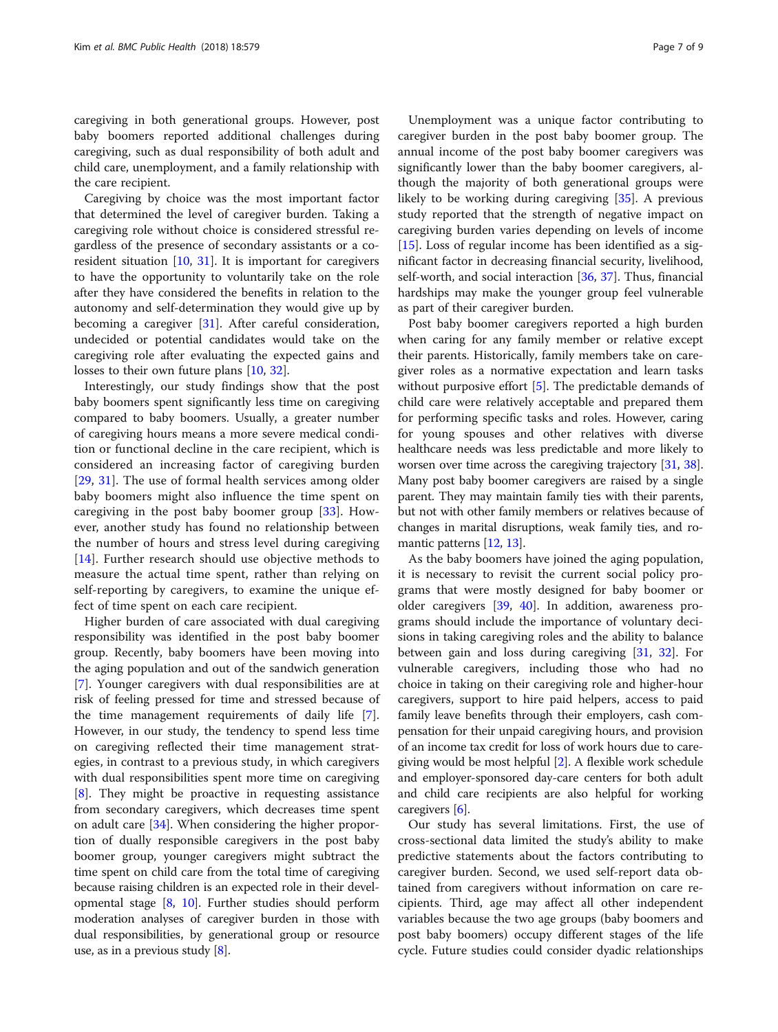caregiving in both generational groups. However, post baby boomers reported additional challenges during caregiving, such as dual responsibility of both adult and child care, unemployment, and a family relationship with the care recipient.

Caregiving by choice was the most important factor that determined the level of caregiver burden. Taking a caregiving role without choice is considered stressful regardless of the presence of secondary assistants or a coresident situation [\[10](#page-7-0), [31\]](#page-8-0). It is important for caregivers to have the opportunity to voluntarily take on the role after they have considered the benefits in relation to the autonomy and self-determination they would give up by becoming a caregiver [\[31\]](#page-8-0). After careful consideration, undecided or potential candidates would take on the caregiving role after evaluating the expected gains and losses to their own future plans [[10,](#page-7-0) [32\]](#page-8-0).

Interestingly, our study findings show that the post baby boomers spent significantly less time on caregiving compared to baby boomers. Usually, a greater number of caregiving hours means a more severe medical condition or functional decline in the care recipient, which is considered an increasing factor of caregiving burden [[29,](#page-8-0) [31](#page-8-0)]. The use of formal health services among older baby boomers might also influence the time spent on caregiving in the post baby boomer group [\[33](#page-8-0)]. However, another study has found no relationship between the number of hours and stress level during caregiving [[14\]](#page-7-0). Further research should use objective methods to measure the actual time spent, rather than relying on self-reporting by caregivers, to examine the unique effect of time spent on each care recipient.

Higher burden of care associated with dual caregiving responsibility was identified in the post baby boomer group. Recently, baby boomers have been moving into the aging population and out of the sandwich generation [[7\]](#page-7-0). Younger caregivers with dual responsibilities are at risk of feeling pressed for time and stressed because of the time management requirements of daily life [\[7](#page-7-0)]. However, in our study, the tendency to spend less time on caregiving reflected their time management strategies, in contrast to a previous study, in which caregivers with dual responsibilities spent more time on caregiving [[8\]](#page-7-0). They might be proactive in requesting assistance from secondary caregivers, which decreases time spent on adult care [\[34](#page-8-0)]. When considering the higher proportion of dually responsible caregivers in the post baby boomer group, younger caregivers might subtract the time spent on child care from the total time of caregiving because raising children is an expected role in their developmental stage [\[8](#page-7-0), [10\]](#page-7-0). Further studies should perform moderation analyses of caregiver burden in those with dual responsibilities, by generational group or resource use, as in a previous study [[8](#page-7-0)].

Unemployment was a unique factor contributing to caregiver burden in the post baby boomer group. The annual income of the post baby boomer caregivers was significantly lower than the baby boomer caregivers, although the majority of both generational groups were likely to be working during caregiving [\[35](#page-8-0)]. A previous study reported that the strength of negative impact on caregiving burden varies depending on levels of income [[15\]](#page-7-0). Loss of regular income has been identified as a significant factor in decreasing financial security, livelihood, self-worth, and social interaction [\[36,](#page-8-0) [37\]](#page-8-0). Thus, financial hardships may make the younger group feel vulnerable as part of their caregiver burden.

Post baby boomer caregivers reported a high burden when caring for any family member or relative except their parents. Historically, family members take on caregiver roles as a normative expectation and learn tasks without purposive effort [\[5](#page-7-0)]. The predictable demands of child care were relatively acceptable and prepared them for performing specific tasks and roles. However, caring for young spouses and other relatives with diverse healthcare needs was less predictable and more likely to worsen over time across the caregiving trajectory [\[31,](#page-8-0) [38](#page-8-0)]. Many post baby boomer caregivers are raised by a single parent. They may maintain family ties with their parents, but not with other family members or relatives because of changes in marital disruptions, weak family ties, and romantic patterns [\[12,](#page-7-0) [13](#page-7-0)].

As the baby boomers have joined the aging population, it is necessary to revisit the current social policy programs that were mostly designed for baby boomer or older caregivers [\[39](#page-8-0), [40\]](#page-8-0). In addition, awareness programs should include the importance of voluntary decisions in taking caregiving roles and the ability to balance between gain and loss during caregiving [[31](#page-8-0), [32](#page-8-0)]. For vulnerable caregivers, including those who had no choice in taking on their caregiving role and higher-hour caregivers, support to hire paid helpers, access to paid family leave benefits through their employers, cash compensation for their unpaid caregiving hours, and provision of an income tax credit for loss of work hours due to caregiving would be most helpful [\[2\]](#page-7-0). A flexible work schedule and employer-sponsored day-care centers for both adult and child care recipients are also helpful for working caregivers [\[6\]](#page-7-0).

Our study has several limitations. First, the use of cross-sectional data limited the study's ability to make predictive statements about the factors contributing to caregiver burden. Second, we used self-report data obtained from caregivers without information on care recipients. Third, age may affect all other independent variables because the two age groups (baby boomers and post baby boomers) occupy different stages of the life cycle. Future studies could consider dyadic relationships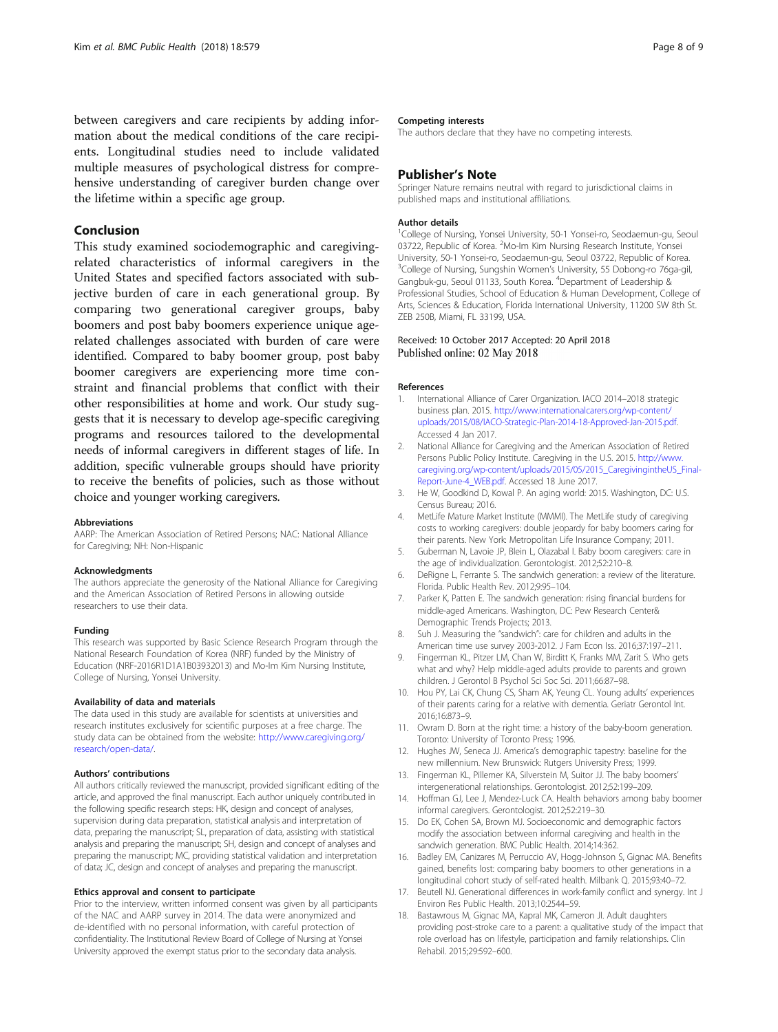<span id="page-7-0"></span>between caregivers and care recipients by adding information about the medical conditions of the care recipients. Longitudinal studies need to include validated multiple measures of psychological distress for comprehensive understanding of caregiver burden change over the lifetime within a specific age group.

# Conclusion

This study examined sociodemographic and caregivingrelated characteristics of informal caregivers in the United States and specified factors associated with subjective burden of care in each generational group. By comparing two generational caregiver groups, baby boomers and post baby boomers experience unique agerelated challenges associated with burden of care were identified. Compared to baby boomer group, post baby boomer caregivers are experiencing more time constraint and financial problems that conflict with their other responsibilities at home and work. Our study suggests that it is necessary to develop age-specific caregiving programs and resources tailored to the developmental needs of informal caregivers in different stages of life. In addition, specific vulnerable groups should have priority to receive the benefits of policies, such as those without choice and younger working caregivers.

#### Abbreviations

AARP: The American Association of Retired Persons; NAC: National Alliance for Caregiving; NH: Non-Hispanic

#### Acknowledgments

The authors appreciate the generosity of the National Alliance for Caregiving and the American Association of Retired Persons in allowing outside researchers to use their data.

### Funding

This research was supported by Basic Science Research Program through the National Research Foundation of Korea (NRF) funded by the Ministry of Education (NRF-2016R1D1A1B03932013) and Mo-Im Kim Nursing Institute, College of Nursing, Yonsei University.

#### Availability of data and materials

The data used in this study are available for scientists at universities and research institutes exclusively for scientific purposes at a free charge. The study data can be obtained from the website: [http://www.caregiving.org/](http://www.caregiving.org/research/open-data) [research/open-data/.](http://www.caregiving.org/research/open-data)

# Authors' contributions

All authors critically reviewed the manuscript, provided significant editing of the article, and approved the final manuscript. Each author uniquely contributed in the following specific research steps: HK, design and concept of analyses, supervision during data preparation, statistical analysis and interpretation of data, preparing the manuscript; SL, preparation of data, assisting with statistical analysis and preparing the manuscript; SH, design and concept of analyses and preparing the manuscript; MC, providing statistical validation and interpretation of data; JC, design and concept of analyses and preparing the manuscript.

#### Ethics approval and consent to participate

Prior to the interview, written informed consent was given by all participants of the NAC and AARP survey in 2014. The data were anonymized and de-identified with no personal information, with careful protection of confidentiality. The Institutional Review Board of College of Nursing at Yonsei University approved the exempt status prior to the secondary data analysis.

#### Competing interests

The authors declare that they have no competing interests.

## Publisher's Note

Springer Nature remains neutral with regard to jurisdictional claims in published maps and institutional affiliations.

#### Author details

<sup>1</sup>College of Nursing, Yonsei University, 50-1 Yonsei-ro, Seodaemun-gu, Seoul 03722, Republic of Korea. <sup>2</sup>Mo-Im Kim Nursing Research Institute, Yonsei University, 50-1 Yonsei-ro, Seodaemun-gu, Seoul 03722, Republic of Korea. <sup>3</sup>College of Nursing, Sungshin Women's University, 55 Dobong-ro 76ga-gil Gangbuk-gu, Seoul 01133, South Korea. <sup>4</sup>Department of Leadership & Professional Studies, School of Education & Human Development, College of Arts, Sciences & Education, Florida International University, 11200 SW 8th St. ZEB 250B, Miami, FL 33199, USA.

## Received: 10 October 2017 Accepted: 20 April 2018 Published online: 02 May 2018

#### References

- 1. International Alliance of Carer Organization. IACO 2014–2018 strategic business plan. 2015. [http://www.internationalcarers.org/wp-content/](http://www.internationalcarers.org/wp-content/uploads/2015/08/IACO-Strategic-Plan-2014-18-Approved-Jan-2015.pdf) [uploads/2015/08/IACO-Strategic-Plan-2014-18-Approved-Jan-2015.pdf](http://www.internationalcarers.org/wp-content/uploads/2015/08/IACO-Strategic-Plan-2014-18-Approved-Jan-2015.pdf). Accessed 4 Jan 2017.
- 2. National Alliance for Caregiving and the American Association of Retired Persons Public Policy Institute. Caregiving in the U.S. 2015. [http://www.](http://www.caregiving.org/wp-content/uploads/2015/05/2015_CaregivingintheUS_Final-Report-June-4_WEB.pdf) [caregiving.org/wp-content/uploads/2015/05/2015\\_CaregivingintheUS\\_Final-](http://www.caregiving.org/wp-content/uploads/2015/05/2015_CaregivingintheUS_Final-Report-June-4_WEB.pdf)[Report-June-4\\_WEB.pdf](http://www.caregiving.org/wp-content/uploads/2015/05/2015_CaregivingintheUS_Final-Report-June-4_WEB.pdf). Accessed 18 June 2017.
- 3. He W, Goodkind D, Kowal P. An aging world: 2015. Washington, DC: U.S. Census Bureau; 2016.
- 4. MetLife Mature Market Institute (MMMI). The MetLife study of caregiving costs to working caregivers: double jeopardy for baby boomers caring for their parents. New York: Metropolitan Life Insurance Company; 2011.
- 5. Guberman N, Lavoie JP, Blein L, Olazabal I. Baby boom caregivers: care in the age of individualization. Gerontologist. 2012;52:210–8.
- 6. DeRigne L, Ferrante S. The sandwich generation: a review of the literature. Florida. Public Health Rev. 2012;9:95–104.
- 7. Parker K, Patten E. The sandwich generation: rising financial burdens for middle-aged Americans. Washington, DC: Pew Research Center& Demographic Trends Projects; 2013.
- 8. Suh J. Measuring the "sandwich": care for children and adults in the American time use survey 2003-2012. J Fam Econ Iss. 2016;37:197–211.
- 9. Fingerman KL, Pitzer LM, Chan W, Birditt K, Franks MM, Zarit S. Who gets what and why? Help middle-aged adults provide to parents and grown children. J Gerontol B Psychol Sci Soc Sci. 2011;66:87–98.
- 10. Hou PY, Lai CK, Chung CS, Sham AK, Yeung CL. Young adults' experiences of their parents caring for a relative with dementia. Geriatr Gerontol Int. 2016;16:873–9.
- 11. Owram D. Born at the right time: a history of the baby-boom generation. Toronto: University of Toronto Press; 1996.
- 12. Hughes JW, Seneca JJ. America's demographic tapestry: baseline for the new millennium. New Brunswick: Rutgers University Press; 1999.
- 13. Fingerman KL, Pillemer KA, Silverstein M, Suitor JJ. The baby boomers' intergenerational relationships. Gerontologist. 2012;52:199–209.
- 14. Hoffman GJ, Lee J, Mendez-Luck CA. Health behaviors among baby boomer informal caregivers. Gerontologist. 2012;52:219–30.
- 15. Do EK, Cohen SA, Brown MJ. Socioeconomic and demographic factors modify the association between informal caregiving and health in the sandwich generation. BMC Public Health. 2014;14:362.
- 16. Badley EM, Canizares M, Perruccio AV, Hogg-Johnson S, Gignac MA. Benefits gained, benefits lost: comparing baby boomers to other generations in a longitudinal cohort study of self-rated health. Milbank Q. 2015;93:40–72.
- 17. Beutell NJ. Generational differences in work-family conflict and synergy. Int J Environ Res Public Health. 2013;10:2544–59.
- 18. Bastawrous M, Gignac MA, Kapral MK, Cameron JI. Adult daughters providing post-stroke care to a parent: a qualitative study of the impact that role overload has on lifestyle, participation and family relationships. Clin Rehabil. 2015;29:592–600.